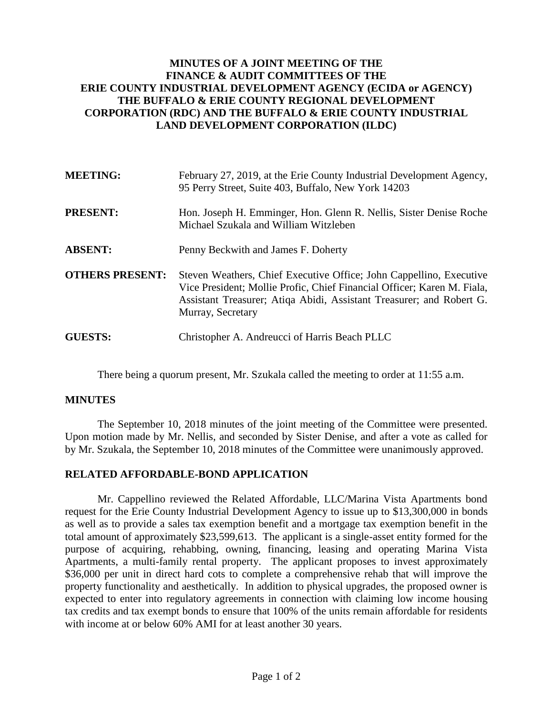## **MINUTES OF A JOINT MEETING OF THE FINANCE & AUDIT COMMITTEES OF THE ERIE COUNTY INDUSTRIAL DEVELOPMENT AGENCY (ECIDA or AGENCY) THE BUFFALO & ERIE COUNTY REGIONAL DEVELOPMENT CORPORATION (RDC) AND THE BUFFALO & ERIE COUNTY INDUSTRIAL LAND DEVELOPMENT CORPORATION (ILDC)**

| <b>MEETING:</b>        | February 27, 2019, at the Erie County Industrial Development Agency,<br>95 Perry Street, Suite 403, Buffalo, New York 14203                                                                                                                 |
|------------------------|---------------------------------------------------------------------------------------------------------------------------------------------------------------------------------------------------------------------------------------------|
| <b>PRESENT:</b>        | Hon. Joseph H. Emminger, Hon. Glenn R. Nellis, Sister Denise Roche<br>Michael Szukala and William Witzleben                                                                                                                                 |
| <b>ABSENT:</b>         | Penny Beckwith and James F. Doherty                                                                                                                                                                                                         |
| <b>OTHERS PRESENT:</b> | Steven Weathers, Chief Executive Office; John Cappellino, Executive<br>Vice President; Mollie Profic, Chief Financial Officer; Karen M. Fiala,<br>Assistant Treasurer; Atiqa Abidi, Assistant Treasurer; and Robert G.<br>Murray, Secretary |
| <b>GUESTS:</b>         | Christopher A. Andreucci of Harris Beach PLLC                                                                                                                                                                                               |

There being a quorum present, Mr. Szukala called the meeting to order at 11:55 a.m.

## **MINUTES**

The September 10, 2018 minutes of the joint meeting of the Committee were presented. Upon motion made by Mr. Nellis, and seconded by Sister Denise, and after a vote as called for by Mr. Szukala, the September 10, 2018 minutes of the Committee were unanimously approved.

## **RELATED AFFORDABLE-BOND APPLICATION**

Mr. Cappellino reviewed the Related Affordable, LLC/Marina Vista Apartments bond request for the Erie County Industrial Development Agency to issue up to \$13,300,000 in bonds as well as to provide a sales tax exemption benefit and a mortgage tax exemption benefit in the total amount of approximately \$23,599,613. The applicant is a single-asset entity formed for the purpose of acquiring, rehabbing, owning, financing, leasing and operating Marina Vista Apartments, a multi-family rental property. The applicant proposes to invest approximately \$36,000 per unit in direct hard cots to complete a comprehensive rehab that will improve the property functionality and aesthetically. In addition to physical upgrades, the proposed owner is expected to enter into regulatory agreements in connection with claiming low income housing tax credits and tax exempt bonds to ensure that 100% of the units remain affordable for residents with income at or below 60% AMI for at least another 30 years.